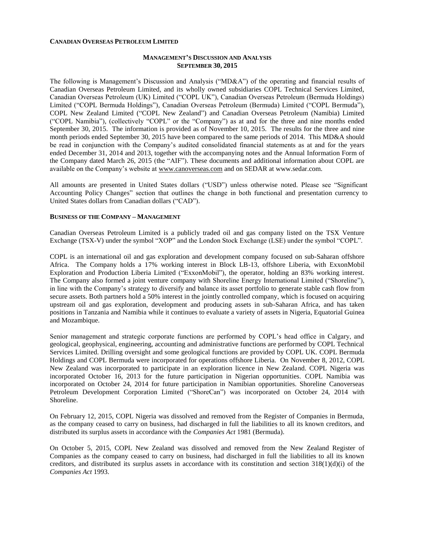#### **CANADIAN OVERSEAS PETROLEUM LIMITED**

### **MANAGEMENT'S DISCUSSION AND ANALYSIS SEPTEMBER 30, 2015**

The following is Management's Discussion and Analysis ("MD&A") of the operating and financial results of Canadian Overseas Petroleum Limited, and its wholly owned subsidiaries COPL Technical Services Limited, Canadian Overseas Petroleum (UK) Limited ("COPL UK"), Canadian Overseas Petroleum (Bermuda Holdings) Limited ("COPL Bermuda Holdings"), Canadian Overseas Petroleum (Bermuda) Limited ("COPL Bermuda"), COPL New Zealand Limited ("COPL New Zealand") and Canadian Overseas Petroleum (Namibia) Limited ("COPL Namibia"), (collectively "COPL" or the "Company") as at and for the three and nine months ended September 30, 2015. The information is provided as of November 10, 2015. The results for the three and nine month periods ended September 30, 2015 have been compared to the same periods of 2014. This MD&A should be read in conjunction with the Company's audited consolidated financial statements as at and for the years ended December 31, 2014 and 2013, together with the accompanying notes and the Annual Information Form of the Company dated March 26, 2015 (the "AIF"). These documents and additional information about COPL are available on the Company's website at [www.canoverseas.com](http://www.canoverseas.com/) and on SEDAR at [www.sedar.com.](http://www.sedar.com/)

All amounts are presented in United States dollars ("USD") unless otherwise noted. Please see "Significant Accounting Policy Changes" section that outlines the change in both functional and presentation currency to United States dollars from Canadian dollars ("CAD").

# **BUSINESS OF THE COMPANY – MANAGEMENT**

Canadian Overseas Petroleum Limited is a publicly traded oil and gas company listed on the TSX Venture Exchange (TSX-V) under the symbol "XOP" and the London Stock Exchange (LSE) under the symbol "COPL".

COPL is an international oil and gas exploration and development company focused on sub-Saharan offshore Africa. The Company holds a 17% working interest in Block LB-13, offshore Liberia, with ExxonMobil Exploration and Production Liberia Limited ("ExxonMobil"), the operator, holding an 83% working interest. The Company also formed a joint venture company with Shoreline Energy International Limited ("Shoreline"), in line with the Company's strategy to diversify and balance its asset portfolio to generate stable cash flow from secure assets. Both partners hold a 50% interest in the jointly controlled company, which is focused on acquiring upstream oil and gas exploration, development and producing assets in sub-Saharan Africa, and has taken positions in Tanzania and Namibia while it continues to evaluate a variety of assets in Nigeria, Equatorial Guinea and Mozambique.

Senior management and strategic corporate functions are performed by COPL's head office in Calgary, and geological, geophysical, engineering, accounting and administrative functions are performed by COPL Technical Services Limited. Drilling oversight and some geological functions are provided by COPL UK. COPL Bermuda Holdings and COPL Bermuda were incorporated for operations offshore Liberia. On November 8, 2012, COPL New Zealand was incorporated to participate in an exploration licence in New Zealand. COPL Nigeria was incorporated October 16, 2013 for the future participation in Nigerian opportunities. COPL Namibia was incorporated on October 24, 2014 for future participation in Namibian opportunities. Shoreline Canoverseas Petroleum Development Corporation Limited ("ShoreCan") was incorporated on October 24, 2014 with Shoreline.

On February 12, 2015, COPL Nigeria was dissolved and removed from the Register of Companies in Bermuda, as the company ceased to carry on business, had discharged in full the liabilities to all its known creditors, and distributed its surplus assets in accordance with the *Companies Act* 1981 (Bermuda).

On October 5, 2015, COPL New Zealand was dissolved and removed from the New Zealand Register of Companies as the company ceased to carry on business, had discharged in full the liabilities to all its known creditors, and distributed its surplus assets in accordance with its constitution and section  $318(1)(d)(i)$  of the *Companies Act* 1993.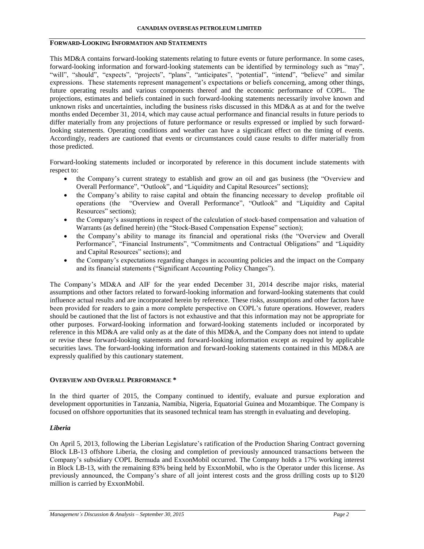# **FORWARD-LOOKING INFORMATION AND STATEMENTS**

This MD&A contains forward-looking statements relating to future events or future performance. In some cases, forward-looking information and forward-looking statements can be identified by terminology such as "may", "will", "should", "expects", "projects", "plans", "anticipates", "potential", "intend", "believe" and similar expressions. These statements represent management's expectations or beliefs concerning, among other things, future operating results and various components thereof and the economic performance of COPL. The projections, estimates and beliefs contained in such forward-looking statements necessarily involve known and unknown risks and uncertainties, including the business risks discussed in this MD&A as at and for the twelve months ended December 31, 2014, which may cause actual performance and financial results in future periods to differ materially from any projections of future performance or results expressed or implied by such forwardlooking statements. Operating conditions and weather can have a significant effect on the timing of events. Accordingly, readers are cautioned that events or circumstances could cause results to differ materially from those predicted.

Forward-looking statements included or incorporated by reference in this document include statements with respect to:

- the Company's current strategy to establish and grow an oil and gas business (the "Overview and Overall Performance", "Outlook", and "Liquidity and Capital Resources" sections);
- the Company's ability to raise capital and obtain the financing necessary to develop profitable oil operations (the "Overview and Overall Performance", "Outlook" and "Liquidity and Capital Resources" sections);
- the Company's assumptions in respect of the calculation of stock-based compensation and valuation of Warrants (as defined herein) (the "Stock-Based Compensation Expense" section);
- the Company's ability to manage its financial and operational risks (the "Overview and Overall Performance", "Financial Instruments", "Commitments and Contractual Obligations" and "Liquidity and Capital Resources" sections); and
- the Company's expectations regarding changes in accounting policies and the impact on the Company and its financial statements ("Significant Accounting Policy Changes").

The Company's MD&A and AIF for the year ended December 31, 2014 describe major risks, material assumptions and other factors related to forward-looking information and forward-looking statements that could influence actual results and are incorporated herein by reference. These risks, assumptions and other factors have been provided for readers to gain a more complete perspective on COPL's future operations. However, readers should be cautioned that the list of factors is not exhaustive and that this information may not be appropriate for other purposes. Forward-looking information and forward-looking statements included or incorporated by reference in this MD&A are valid only as at the date of this MD&A, and the Company does not intend to update or revise these forward-looking statements and forward-looking information except as required by applicable securities laws. The forward-looking information and forward-looking statements contained in this MD&A are expressly qualified by this cautionary statement.

#### **OVERVIEW AND OVERALL PERFORMANCE \***

In the third quarter of 2015, the Company continued to identify, evaluate and pursue exploration and development opportunities in Tanzania, Namibia, Nigeria, Equatorial Guinea and Mozambique. The Company is focused on offshore opportunities that its seasoned technical team has strength in evaluating and developing.

#### *Liberia*

On April 5, 2013, following the Liberian Legislature's ratification of the Production Sharing Contract governing Block LB-13 offshore Liberia, the closing and completion of previously announced transactions between the Company's subsidiary COPL Bermuda and ExxonMobil occurred. The Company holds a 17% working interest in Block LB-13, with the remaining 83% being held by ExxonMobil, who is the Operator under this license. As previously announced, the Company's share of all joint interest costs and the gross drilling costs up to \$120 million is carried by ExxonMobil.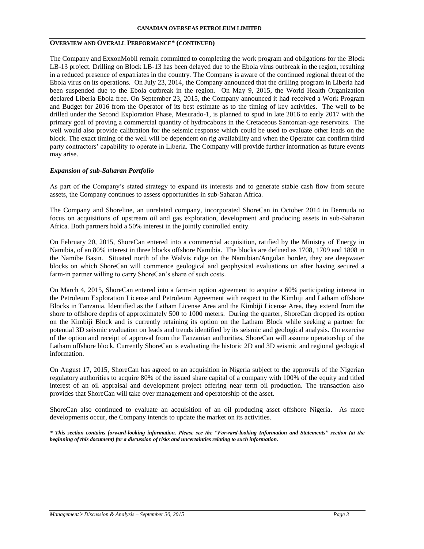# **OVERVIEW AND OVERALL PERFORMANCE\* (CONTINUED)**

The Company and ExxonMobil remain committed to completing the work program and obligations for the Block LB-13 project. Drilling on Block LB-13 has been delayed due to the Ebola virus outbreak in the region, resulting in a reduced presence of expatriates in the country. The Company is aware of the continued regional threat of the Ebola virus on its operations. On July 23, 2014, the Company announced that the drilling program in Liberia had been suspended due to the Ebola outbreak in the region. On May 9, 2015, the World Health Organization declared Liberia Ebola free. On September 23, 2015, the Company announced it had received a Work Program and Budget for 2016 from the Operator of its best estimate as to the timing of key activities. The well to be drilled under the Second Exploration Phase, Mesurado-1, is planned to spud in late 2016 to early 2017 with the primary goal of proving a commercial quantity of hydrocabons in the Cretaceous Santonian-age reservoirs. The well would also provide calibration for the seismic response which could be used to evaluate other leads on the block. The exact timing of the well will be dependent on rig availability and when the Operator can confirm third party contractors' capability to operate in Liberia. The Company will provide further information as future events may arise.

# *Expansion of sub-Saharan Portfolio*

As part of the Company's stated strategy to expand its interests and to generate stable cash flow from secure assets, the Company continues to assess opportunities in sub-Saharan Africa.

The Company and Shoreline, an unrelated company, incorporated ShoreCan in October 2014 in Bermuda to focus on acquisitions of upstream oil and gas exploration, development and producing assets in sub-Saharan Africa. Both partners hold a 50% interest in the jointly controlled entity.

On February 20, 2015, ShoreCan entered into a commercial acquisition, ratified by the Ministry of Energy in Namibia, of an 80% interest in three blocks offshore Namibia. The blocks are defined as 1708, 1709 and 1808 in the Namibe Basin. Situated north of the Walvis ridge on the Namibian/Angolan border, they are deepwater blocks on which ShoreCan will commence geological and geophysical evaluations on after having secured a farm-in partner willing to carry ShoreCan's share of such costs.

On March 4, 2015, ShoreCan entered into a farm-in option agreement to acquire a 60% participating interest in the Petroleum Exploration License and Petroleum Agreement with respect to the Kimbiji and Latham offshore Blocks in Tanzania. Identified as the Latham License Area and the Kimbiji License Area, they extend from the shore to offshore depths of approximately 500 to 1000 meters. During the quarter, ShoreCan dropped its option on the Kimbiji Block and is currently retaining its option on the Latham Block while seeking a partner for potential 3D seismic evaluation on leads and trends identified by its seismic and geological analysis. On exercise of the option and receipt of approval from the Tanzanian authorities, ShoreCan will assume operatorship of the Latham offshore block. Currently ShoreCan is evaluating the historic 2D and 3D seismic and regional geological information.

On August 17, 2015, ShoreCan has agreed to an acquisition in Nigeria subject to the approvals of the Nigerian regulatory authorities to acquire 80% of the issued share capital of a company with 100% of the equity and titled interest of an oil appraisal and development project offering near term oil production. The transaction also provides that ShoreCan will take over management and operatorship of the asset.

ShoreCan also continued to evaluate an acquisition of an oil producing asset offshore Nigeria. As more developments occur, the Company intends to update the market on its activities.

*\* This section contains forward-looking information. Please see the "Forward-looking Information and Statements" section (at the beginning of this document) for a discussion of risks and uncertainties relating to such information.*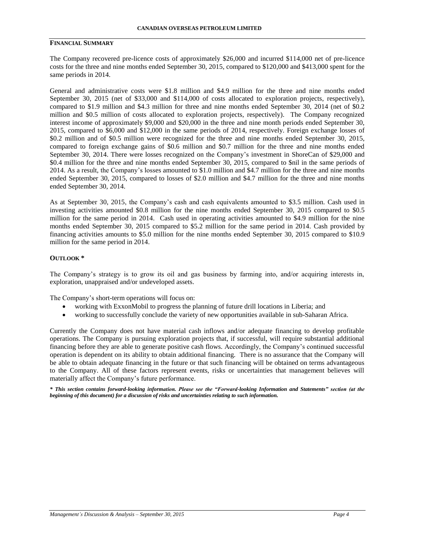## **FINANCIAL SUMMARY**

The Company recovered pre-licence costs of approximately \$26,000 and incurred \$114,000 net of pre-licence costs for the three and nine months ended September 30, 2015, compared to \$120,000 and \$413,000 spent for the same periods in 2014.

General and administrative costs were \$1.8 million and \$4.9 million for the three and nine months ended September 30, 2015 (net of \$33,000 and \$114,000 of costs allocated to exploration projects, respectively), compared to \$1.9 million and \$4.3 million for three and nine months ended September 30, 2014 (net of \$0.2 million and \$0.5 million of costs allocated to exploration projects, respectively). The Company recognized interest income of approximately \$9,000 and \$20,000 in the three and nine month periods ended September 30, 2015, compared to \$6,000 and \$12,000 in the same periods of 2014, respectively. Foreign exchange losses of \$0.2 million and of \$0.5 million were recognized for the three and nine months ended September 30, 2015, compared to foreign exchange gains of \$0.6 million and \$0.7 million for the three and nine months ended September 30, 2014. There were losses recognized on the Company's investment in ShoreCan of \$29,000 and \$0.4 million for the three and nine months ended September 30, 2015, compared to \$nil in the same periods of 2014. As a result, the Company's losses amounted to \$1.0 million and \$4.7 million for the three and nine months ended September 30, 2015, compared to losses of \$2.0 million and \$4.7 million for the three and nine months ended September 30, 2014.

As at September 30, 2015, the Company's cash and cash equivalents amounted to \$3.5 million. Cash used in investing activities amounted \$0.8 million for the nine months ended September 30, 2015 compared to \$0.5 million for the same period in 2014. Cash used in operating activities amounted to \$4.9 million for the nine months ended September 30, 2015 compared to \$5.2 million for the same period in 2014. Cash provided by financing activities amounts to \$5.0 million for the nine months ended September 30, 2015 compared to \$10.9 million for the same period in 2014.

#### **OUTLOOK \***

The Company's strategy is to grow its oil and gas business by farming into, and/or acquiring interests in, exploration, unappraised and/or undeveloped assets.

The Company's short-term operations will focus on:

- working with ExxonMobil to progress the planning of future drill locations in Liberia; and
- working to successfully conclude the variety of new opportunities available in sub-Saharan Africa.

Currently the Company does not have material cash inflows and/or adequate financing to develop profitable operations. The Company is pursuing exploration projects that, if successful, will require substantial additional financing before they are able to generate positive cash flows. Accordingly, the Company's continued successful operation is dependent on its ability to obtain additional financing. There is no assurance that the Company will be able to obtain adequate financing in the future or that such financing will be obtained on terms advantageous to the Company. All of these factors represent events, risks or uncertainties that management believes will materially affect the Company's future performance.

*\* This section contains forward-looking information. Please see the "Forward-looking Information and Statements" section (at the beginning of this document) for a discussion of risks and uncertainties relating to such information.*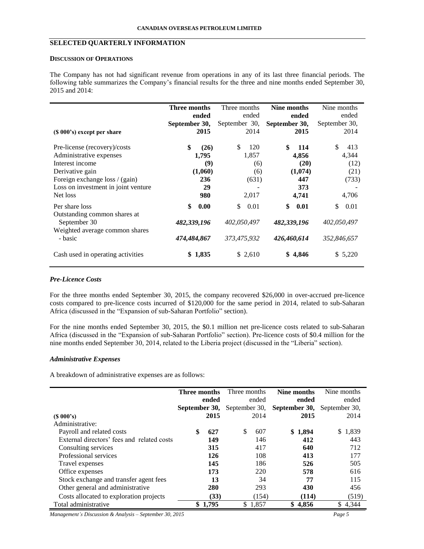# **SELECTED QUARTERLY INFORMATION**

#### **DISCUSSION OF OPERATIONS**

The Company has not had significant revenue from operations in any of its last three financial periods. The following table summarizes the Company's financial results for the three and nine months ended September 30, 2015 and 2014:

|                                                                                | Three months<br>ended | Three months<br>ended | Nine months<br>ended | Nine months<br>ended |
|--------------------------------------------------------------------------------|-----------------------|-----------------------|----------------------|----------------------|
|                                                                                | September 30,         | September 30,         | September 30,        | September 30,        |
| (\$ 000's) except per share                                                    | 2015                  | 2014                  | 2015                 | 2014                 |
| Pre-license (recovery)/costs                                                   | \$<br>(26)            | \$<br>120             | \$<br>114            | \$.<br>413           |
| Administrative expenses                                                        | 1,795                 | 1,857                 | 4,856                | 4,344                |
| Interest income                                                                | (9)                   | (6)                   | (20)                 | (12)                 |
| Derivative gain                                                                | (1,060)               | (6)                   | (1,074)              | (21)                 |
| Foreign exchange loss / (gain)                                                 | 236                   | (631)                 | 447                  | (733)                |
| Loss on investment in joint venture                                            | 29                    |                       | 373                  |                      |
| Net loss                                                                       | 980                   | 2,017                 | 4,741                | 4,706                |
| Per share loss                                                                 | \$<br>0.00            | \$<br>0.01            | \$<br>0.01           | \$<br>0.01           |
| Outstanding common shares at<br>September 30<br>Weighted average common shares | 482,339,196           | 402,050,497           | 482,339,196          | 402,050,497          |
| - basic                                                                        | 474,484,867           | 373,475,932           | 426,460,614          | 352,846,657          |
| Cash used in operating activities                                              | 1,835<br>\$           | \$2,610               | \$4,846              | \$5,220              |

#### *Pre-Licence Costs*

For the three months ended September 30, 2015, the company recovered \$26,000 in over-accrued pre-licence costs compared to pre-licence costs incurred of \$120,000 for the same period in 2014, related to sub-Saharan Africa (discussed in the "Expansion of sub-Saharan Portfolio" section).

For the nine months ended September 30, 2015, the \$0.1 million net pre-licence costs related to sub-Saharan Africa (discussed in the "Expansion of sub-Saharan Portfolio" section). Pre-licence costs of \$0.4 million for the nine months ended September 30, 2014, related to the Liberia project (discussed in the "Liberia" section).

# *Administrative Expenses*

A breakdown of administrative expenses are as follows:

|                                            | <b>Three months</b> |         | Three months  |         | Nine months   | Nine months   |
|--------------------------------------------|---------------------|---------|---------------|---------|---------------|---------------|
|                                            |                     | ended   |               | ended   | ended         | ended         |
|                                            | September 30,       |         | September 30, |         | September 30, | September 30, |
| $(S\ 000's)$                               |                     | 2015    |               | 2014    | 2015          | 2014          |
| Administrative:                            |                     |         |               |         |               |               |
| Payroll and related costs                  | \$                  | 627     | <sup>\$</sup> | 607     | \$1,894       | \$1,839       |
| External directors' fees and related costs |                     | 149     |               | 146     | 412           | 443           |
| Consulting services                        |                     | 315     |               | 417     | 640           | 712           |
| Professional services                      |                     | 126     |               | 108     | 413           | 177           |
| Travel expenses                            |                     | 145     |               | 186     | 526           | 505           |
| Office expenses                            |                     | 173     |               | 220     | 578           | 616           |
| Stock exchange and transfer agent fees     |                     | 13      |               | 34      | 77            | 115           |
| Other general and administrative           |                     | 280     |               | 293     | 430           | 456           |
| Costs allocated to exploration projects    |                     | (33)    |               | (154)   | (114)         | (519)         |
| Total administrative                       |                     | \$1,795 |               | \$1,857 | \$4,856       | \$<br>4,344   |

*Management's Discussion & Analysis – September 30, 2015 Page 5*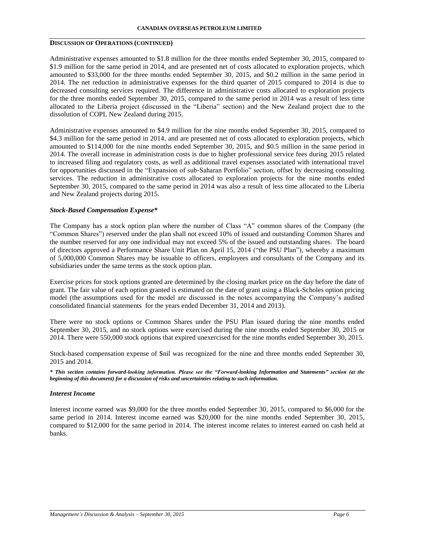### **DISCUSSION OF OPERATIONS (CONTINUED)**

Administrative expenses amounted to \$1.8 million for the three months ended September 30, 2015, compared to \$1.9 million for the same period in 2014, and are presented net of costs allocated to exploration projects, which amounted to \$33,000 for the three months ended September 30, 2015, and \$0.2 million in the same period in 2014. The net reduction in administrative expenses for the third quarter of 2015 compared to 2014 is due to decreased consulting services required. The difference in administrative costs allocated to exploration projects for the three months ended September 30, 2015, compared to the same period in 2014 was a result of less time allocated to the Liberia project (discussed in the "Liberia" section) and the New Zealand project due to the dissolution of COPL New Zealand during 2015.

Administrative expenses amounted to \$4.9 million for the nine months ended September 30, 2015, compared to \$4.3 million for the same period in 2014, and are presented net of costs allocated to exploration projects, which amounted to \$114,000 for the nine months ended September 30, 2015, and \$0.5 million in the same period in 2014. The overall increase in administration costs is due to higher professional service fees during 2015 related to increased filing and regulatory costs, as well as additional travel expenses associated with international travel for opportunities discussed in the "Expansion of sub-Saharan Portfolio" section, offset by decreasing consulting services. The reduction in administrative costs allocated to exploration projects for the nine months ended September 30, 2015, compared to the same period in 2014 was also a result of less time allocated to the Liberia and New Zealand projects during 2015.

#### *Stock-Based Compensation Expense\**

The Company has a stock option plan where the number of Class "A" common shares of the Company (the "Common Shares") reserved under the plan shall not exceed 10% of issued and outstanding Common Shares and the number reserved for any one individual may not exceed 5% of the issued and outstanding shares. The board of directors approved a Performance Share Unit Plan on April 15, 2014 ("the PSU Plan"), whereby a maximum of 5,000,000 Common Shares may be issuable to officers, employees and consultants of the Company and its subsidiaries under the same terms as the stock option plan.

Exercise prices for stock options granted are determined by the closing market price on the day before the date of grant. The fair value of each option granted is estimated on the date of grant using a Black-Scholes option pricing model (the assumptions used for the model are discussed in the notes accompanying the Company's audited consolidated financial statements for the years ended December 31, 2014 and 2013).

There were no stock options or Common Shares under the PSU Plan issued during the nine months ended September 30, 2015, and no stock options were exercised during the nine months ended September 30, 2015 or 2014. There were 550,000 stock options that expired unexercised for the nine months ended September 30, 2015.

Stock-based compensation expense of \$nil was recognized for the nine and three months ended September 30, 2015 and 2014.

*\* This section contains forward-looking information. Please see the "Forward-looking Information and Statements" section (at the beginning of this document) for a discussion of risks and uncertainties relating to such information.*

#### *Interest Income*

Interest income earned was \$9,000 for the three months ended September 30, 2015, compared to \$6,000 for the same period in 2014. Interest income earned was \$20,000 for the nine months ended September 30, 2015, compared to \$12,000 for the same period in 2014. The interest income relates to interest earned on cash held at banks.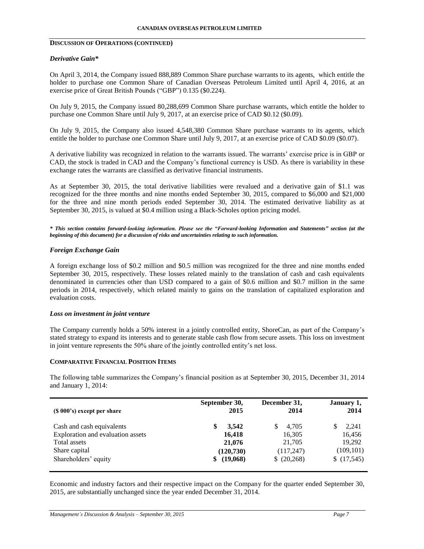# **DISCUSSION OF OPERATIONS (CONTINUED)**

### *Derivative Gain\**

On April 3, 2014, the Company issued 888,889 Common Share purchase warrants to its agents, which entitle the holder to purchase one Common Share of Canadian Overseas Petroleum Limited until April 4, 2016, at an exercise price of Great British Pounds ("GBP") 0.135 (\$0.224).

On July 9, 2015, the Company issued 80,288,699 Common Share purchase warrants, which entitle the holder to purchase one Common Share until July 9, 2017, at an exercise price of CAD \$0.12 (\$0.09).

On July 9, 2015, the Company also issued 4,548,380 Common Share purchase warrants to its agents, which entitle the holder to purchase one Common Share until July 9, 2017, at an exercise price of CAD \$0.09 (\$0.07).

A derivative liability was recognized in relation to the warrants issued. The warrants' exercise price is in GBP or CAD, the stock is traded in CAD and the Company's functional currency is USD. As there is variability in these exchange rates the warrants are classified as derivative financial instruments.

As at September 30, 2015, the total derivative liabilities were revalued and a derivative gain of \$1.1 was recognized for the three months and nine months ended September 30, 2015, compared to \$6,000 and \$21,000 for the three and nine month periods ended September 30, 2014. The estimated derivative liability as at September 30, 2015, is valued at \$0.4 million using a Black-Scholes option pricing model.

*\* This section contains forward-looking information. Please see the "Forward-looking Information and Statements" section (at the beginning of this document) for a discussion of risks and uncertainties relating to such information.*

# *Foreign Exchange Gain*

A foreign exchange loss of \$0.2 million and \$0.5 million was recognized for the three and nine months ended September 30, 2015, respectively. These losses related mainly to the translation of cash and cash equivalents denominated in currencies other than USD compared to a gain of \$0.6 million and \$0.7 million in the same periods in 2014, respectively, which related mainly to gains on the translation of capitalized exploration and evaluation costs.

#### *Loss on investment in joint venture*

The Company currently holds a 50% interest in a jointly controlled entity, ShoreCan, as part of the Company's stated strategy to expand its interests and to generate stable cash flow from secure assets. This loss on investment in joint venture represents the 50% share of the jointly controlled entity's net loss.

## **COMPARATIVE FINANCIAL POSITION ITEMS**

The following table summarizes the Company's financial position as at September 30, 2015, December 31, 2014 and January 1, 2014:

| $(S 000's)$ except per share      | September 30, | December 31, | January 1, |
|-----------------------------------|---------------|--------------|------------|
|                                   | 2015          | 2014         | 2014       |
| Cash and cash equivalents         | 3,542         | 4.705        | 2,241      |
| Exploration and evaluation assets | 16,418        | 16,305       | 16,456     |
| Total assets                      | 21,076        | 21,705       | 19.292     |
| Share capital                     | (120, 730)    | (117, 247)   | (109, 101) |
| Shareholders' equity              | (19,068)      | (20, 268)    | \$(17,545) |

Economic and industry factors and their respective impact on the Company for the quarter ended September 30, 2015, are substantially unchanged since the year ended December 31, 2014.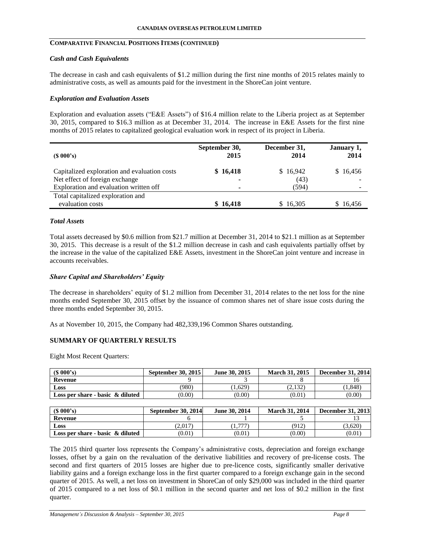# **COMPARATIVE FINANCIAL POSITIONS ITEMS (CONTINUED)**

#### *Cash and Cash Equivalents*

The decrease in cash and cash equivalents of \$1.2 million during the first nine months of 2015 relates mainly to administrative costs, as well as amounts paid for the investment in the ShoreCan joint venture.

### *Exploration and Evaluation Assets*

Exploration and evaluation assets ("E&E Assets") of \$16.4 million relate to the Liberia project as at September 30, 2015, compared to \$16.3 million as at December 31, 2014. The increase in E&E Assets for the first nine months of 2015 relates to capitalized geological evaluation work in respect of its project in Liberia.

| $(S\ 000's)$                                          | September 30,            | December 31, | January 1, |
|-------------------------------------------------------|--------------------------|--------------|------------|
|                                                       | 2015                     | 2014         | 2014       |
| Capitalized exploration and evaluation costs          | \$16,418                 | \$16,942     | \$16,456   |
| Net effect of foreign exchange                        | $\overline{\phantom{a}}$ | (43)         |            |
| Exploration and evaluation written off                |                          | (594)        |            |
| Total capitalized exploration and<br>evaluation costs | \$16,418                 | \$16.305     | \$16,456   |

#### *Total Assets*

Total assets decreased by \$0.6 million from \$21.7 million at December 31, 2014 to \$21.1 million as at September 30, 2015. This decrease is a result of the \$1.2 million decrease in cash and cash equivalents partially offset by the increase in the value of the capitalized E&E Assets, investment in the ShoreCan joint venture and increase in accounts receivables.

#### *Share Capital and Shareholders' Equity*

The decrease in shareholders' equity of \$1.2 million from December 31, 2014 relates to the net loss for the nine months ended September 30, 2015 offset by the issuance of common shares net of share issue costs during the three months ended September 30, 2015.

As at November 10, 2015, the Company had 482,339,196 Common Shares outstanding.

### **SUMMARY OF QUARTERLY RESULTS**

Eight Most Recent Quarters:

| $(S\ 000's)$                        | <b>September 30, 2015</b> | June 30, 2015 | <b>March 31, 2015</b> | <b>December 31, 2014</b> |
|-------------------------------------|---------------------------|---------------|-----------------------|--------------------------|
| Revenue                             |                           |               |                       |                          |
| Loss                                | (980)                     | (0.629)       | (2.132)               | 1.848)                   |
| Loss per share - basic $\&$ diluted | (0.00)                    | (0.00)        | (0.01                 | (0.00)                   |

| $(S\ 000's)$                        | September 30, 2014 | June 30, 2014 | <b>March 31, 2014</b> | <b>December 31, 2013</b> |
|-------------------------------------|--------------------|---------------|-----------------------|--------------------------|
| Revenue                             |                    |               |                       |                          |
| Loss                                | (2.017             | ---           | (912)                 | (3.620)                  |
| Loss per share - basic $\&$ diluted | (0.01)             | (0.01)        | (0.00)                | (0.01)                   |

The 2015 third quarter loss represents the Company's administrative costs, depreciation and foreign exchange losses, offset by a gain on the revaluation of the derivative liabilities and recovery of pre-license costs. The second and first quarters of 2015 losses are higher due to pre-licence costs, significantly smaller derivative liability gains and a foreign exchange loss in the first quarter compared to a foreign exchange gain in the second quarter of 2015. As well, a net loss on investment in ShoreCan of only \$29,000 was included in the third quarter of 2015 compared to a net loss of \$0.1 million in the second quarter and net loss of \$0.2 million in the first quarter.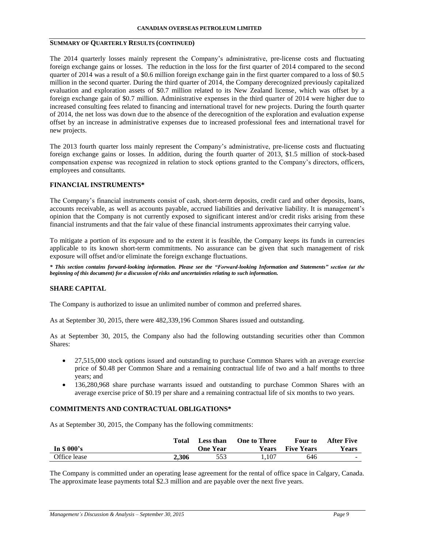# **SUMMARY OF QUARTERLY RESULTS (CONTINUED)**

The 2014 quarterly losses mainly represent the Company's administrative, pre-license costs and fluctuating foreign exchange gains or losses. The reduction in the loss for the first quarter of 2014 compared to the second quarter of 2014 was a result of a \$0.6 million foreign exchange gain in the first quarter compared to a loss of \$0.5 million in the second quarter. During the third quarter of 2014, the Company derecognized previously capitalized evaluation and exploration assets of \$0.7 million related to its New Zealand license, which was offset by a foreign exchange gain of \$0.7 million. Administrative expenses in the third quarter of 2014 were higher due to increased consulting fees related to financing and international travel for new projects. During the fourth quarter of 2014, the net loss was down due to the absence of the derecognition of the exploration and evaluation expense offset by an increase in administrative expenses due to increased professional fees and international travel for new projects.

The 2013 fourth quarter loss mainly represent the Company's administrative, pre-license costs and fluctuating foreign exchange gains or losses. In addition, during the fourth quarter of 2013, \$1.5 million of stock-based compensation expense was recognized in relation to stock options granted to the Company's directors, officers, employees and consultants.

#### **FINANCIAL INSTRUMENTS\***

The Company's financial instruments consist of cash, short-term deposits, credit card and other deposits, loans, accounts receivable, as well as accounts payable, accrued liabilities and derivative liability. It is management's opinion that the Company is not currently exposed to significant interest and/or credit risks arising from these financial instruments and that the fair value of these financial instruments approximates their carrying value.

To mitigate a portion of its exposure and to the extent it is feasible, the Company keeps its funds in currencies applicable to its known short-term commitments. No assurance can be given that such management of risk exposure will offset and/or eliminate the foreign exchange fluctuations.

*\* This section contains forward-looking information. Please see the "Forward-looking Information and Statements" section (at the beginning of this document) for a discussion of risks and uncertainties relating to such information.*

# **SHARE CAPITAL**

The Company is authorized to issue an unlimited number of common and preferred shares.

As at September 30, 2015, there were 482,339,196 Common Shares issued and outstanding.

As at September 30, 2015, the Company also had the following outstanding securities other than Common Shares:

- 27,515,000 stock options issued and outstanding to purchase Common Shares with an average exercise price of \$0.48 per Common Share and a remaining contractual life of two and a half months to three years; and
- 136,280,968 share purchase warrants issued and outstanding to purchase Common Shares with an average exercise price of \$0.19 per share and a remaining contractual life of six months to two years.

#### **COMMITMENTS AND CONTRACTUAL OBLIGATIONS\***

As at September 30, 2015, the Company has the following commitments:

| In $$000's$  | Total | Less than<br><b>One Year</b> | <b>One to Three</b><br><b>Years</b> | Four to<br><b>Five Years</b> | <b>After Five</b><br><b>Years</b> |
|--------------|-------|------------------------------|-------------------------------------|------------------------------|-----------------------------------|
| Office lease | 2.306 | 553                          | 1.107                               | 646                          | $\sim$                            |

The Company is committed under an operating lease agreement for the rental of office space in Calgary, Canada. The approximate lease payments total \$2.3 million and are payable over the next five years.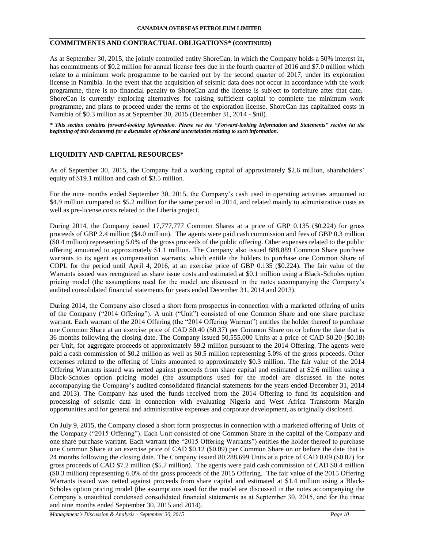### **COMMITMENTS AND CONTRACTUAL OBLIGATIONS\* (CONTINUED)**

As at September 30, 2015, the jointly controlled entity ShoreCan, in which the Company holds a 50% interest in, has commitments of \$0.2 million for annual license fees due in the fourth quarter of 2016 and \$7.0 million which relate to a minimum work programme to be carried out by the second quarter of 2017, under its exploration license in Namibia. In the event that the acquisition of seismic data does not occur in accordance with the work programme, there is no financial penalty to ShoreCan and the license is subject to forfeiture after that date. ShoreCan is currently exploring alternatives for raising sufficient capital to complete the minimum work programme, and plans to proceed under the terms of the exploration license. ShoreCan has capitalized costs in Namibia of \$0.3 million as at September 30, 2015 (December 31, 2014 - \$nil).

*\* This section contains forward-looking information. Please see the "Forward-looking Information and Statements" section (at the beginning of this document) for a discussion of risks and uncertainties relating to such information.*

# **LIQUIDITY AND CAPITAL RESOURCES\***

As of September 30, 2015, the Company had a working capital of approximately \$2.6 million, shareholders' equity of \$19.1 million and cash of \$3.5 million.

For the nine months ended September 30, 2015, the Company's cash used in operating activities amounted to \$4.9 million compared to \$5.2 million for the same period in 2014, and related mainly to administrative costs as well as pre-license costs related to the Liberia project.

During 2014, the Company issued 17,777,777 Common Shares at a price of GBP 0.135 (\$0.224) for gross proceeds of GBP 2.4 million (\$4.0 million). The agents were paid cash commission and fees of GBP 0.3 million (\$0.4 million) representing 5.0% of the gross proceeds of the public offering. Other expenses related to the public offering amounted to approximately \$1.1 million. The Company also issued 888,889 Common Share purchase warrants to its agent as compensation warrants, which entitle the holders to purchase one Common Share of COPL for the period until April 4, 2016, at an exercise price of GBP 0.135 (\$0.224). The fair value of the Warrants issued was recognized as share issue costs and estimated at \$0.1 million using a Black-Scholes option pricing model (the assumptions used for the model are discussed in the notes accompanying the Company's audited consolidated financial statements for years ended December 31, 2014 and 2013).

During 2014, the Company also closed a short form prospectus in connection with a marketed offering of units of the Company ("2014 Offering"). A unit ("Unit") consisted of one Common Share and one share purchase warrant. Each warrant of the 2014 Offering (the "2014 Offering Warrant") entitles the holder thereof to purchase one Common Share at an exercise price of CAD \$0.40 (\$0.37) per Common Share on or before the date that is 36 months following the closing date. The Company issued 50,555,000 Units at a price of CAD \$0.20 (\$0.18) per Unit, for aggregate proceeds of approximately \$9.2 million pursuant to the 2014 Offering. The agents were paid a cash commission of \$0.2 million as well as \$0.5 million representing 5.0% of the gross proceeds. Other expenses related to the offering of Units amounted to approximately \$0.3 million. The fair value of the 2014 Offering Warrants issued was netted against proceeds from share capital and estimated at \$2.6 million using a Black-Scholes option pricing model (the assumptions used for the model are discussed in the notes accompanying the Company's audited consolidated financial statements for the years ended December 31, 2014 and 2013). The Company has used the funds received from the 2014 Offering to fund its acquisition and processing of seismic data in connection with evaluating Nigeria and West Africa Transform Margin opportunities and for general and administrative expenses and corporate development, as originally disclosed.

On July 9, 2015, the Company closed a short form prospectus in connection with a marketed offering of Units of the Company ("2015 Offering"). Each Unit consisted of one Common Share in the capital of the Company and one share purchase warrant. Each warrant (the "2015 Offering Warrants") entitles the holder thereof to purchase one Common Share at an exercise price of CAD \$0.12 (\$0.09) per Common Share on or before the date that is 24 months following the closing date. The Company issued 80,288,699 Units at a price of CAD 0.09 (\$0.07) for gross proceeds of CAD \$7.2 million (\$5.7 million). The agents were paid cash commission of CAD \$0.4 million (\$0.3 million) representing 6.0% of the gross proceeds of the 2015 Offering. The fair value of the 2015 Offering Warrants issued was netted against proceeds from share capital and estimated at \$1.4 million using a Black-Scholes option pricing model (the assumptions used for the model are discussed in the notes accompanying the Company's unaudited condensed consolidated financial statements as at September 30, 2015, and for the three and nine months ended September 30, 2015 and 2014).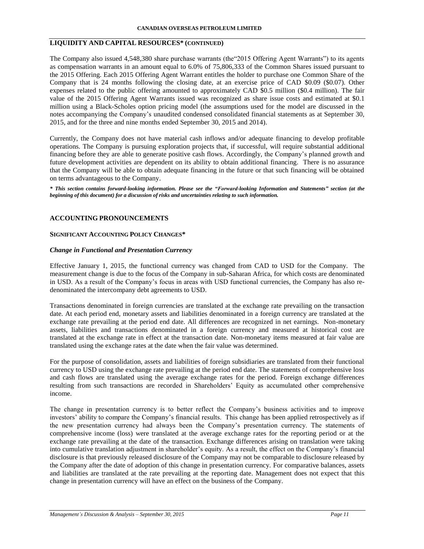# **LIQUIDITY AND CAPITAL RESOURCES\* (CONTINUED)**

The Company also issued 4,548,380 share purchase warrants (the"2015 Offering Agent Warrants") to its agents as compensation warrants in an amount equal to 6.0% of 75,806,333 of the Common Shares issued pursuant to the 2015 Offering. Each 2015 Offering Agent Warrant entitles the holder to purchase one Common Share of the Company that is 24 months following the closing date, at an exercise price of CAD \$0.09 (\$0.07). Other expenses related to the public offering amounted to approximately CAD \$0.5 million (\$0.4 million). The fair value of the 2015 Offering Agent Warrants issued was recognized as share issue costs and estimated at \$0.1 million using a Black-Scholes option pricing model (the assumptions used for the model are discussed in the notes accompanying the Company's unaudited condensed consolidated financial statements as at September 30, 2015, and for the three and nine months ended September 30, 2015 and 2014).

Currently, the Company does not have material cash inflows and/or adequate financing to develop profitable operations. The Company is pursuing exploration projects that, if successful, will require substantial additional financing before they are able to generate positive cash flows. Accordingly, the Company's planned growth and future development activities are dependent on its ability to obtain additional financing. There is no assurance that the Company will be able to obtain adequate financing in the future or that such financing will be obtained on terms advantageous to the Company.

*\* This section contains forward-looking information. Please see the "Forward-looking Information and Statements" section (at the beginning of this document) for a discussion of risks and uncertainties relating to such information.*

# **ACCOUNTING PRONOUNCEMENTS**

#### **SIGNIFICANT ACCOUNTING POLICY CHANGES\***

#### *Change in Functional and Presentation Currency*

Effective January 1, 2015, the functional currency was changed from CAD to USD for the Company. The measurement change is due to the focus of the Company in sub-Saharan Africa, for which costs are denominated in USD. As a result of the Company's focus in areas with USD functional currencies, the Company has also redenominated the intercompany debt agreements to USD.

Transactions denominated in foreign currencies are translated at the exchange rate prevailing on the transaction date. At each period end, monetary assets and liabilities denominated in a foreign currency are translated at the exchange rate prevailing at the period end date. All differences are recognized in net earnings. Non-monetary assets, liabilities and transactions denominated in a foreign currency and measured at historical cost are translated at the exchange rate in effect at the transaction date. Non-monetary items measured at fair value are translated using the exchange rates at the date when the fair value was determined.

For the purpose of consolidation, assets and liabilities of foreign subsidiaries are translated from their functional currency to USD using the exchange rate prevailing at the period end date. The statements of comprehensive loss and cash flows are translated using the average exchange rates for the period. Foreign exchange differences resulting from such transactions are recorded in Shareholders' Equity as accumulated other comprehensive income.

The change in presentation currency is to better reflect the Company's business activities and to improve investors' ability to compare the Company's financial results. This change has been applied retrospectively as if the new presentation currency had always been the Company's presentation currency. The statements of comprehensive income (loss) were translated at the average exchange rates for the reporting period or at the exchange rate prevailing at the date of the transaction. Exchange differences arising on translation were taking into cumulative translation adjustment in shareholder's equity. As a result, the effect on the Company's financial disclosure is that previously released disclosure of the Company may not be comparable to disclosure released by the Company after the date of adoption of this change in presentation currency. For comparative balances, assets and liabilities are translated at the rate prevailing at the reporting date. Management does not expect that this change in presentation currency will have an effect on the business of the Company.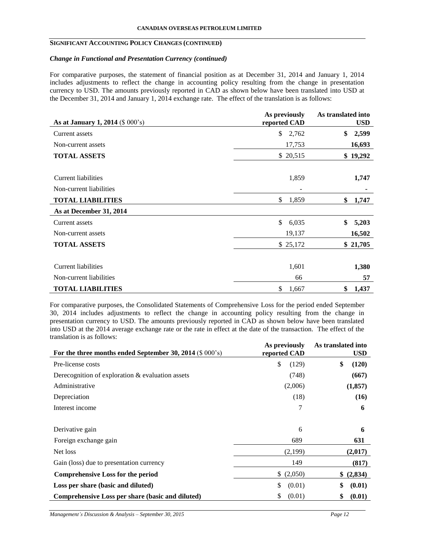### **SIGNIFICANT ACCOUNTING POLICY CHANGES (CONTINUED)**

### *Change in Functional and Presentation Currency (continued)*

For comparative purposes, the statement of financial position as at December 31, 2014 and January 1, 2014 includes adjustments to reflect the change in accounting policy resulting from the change in presentation currency to USD. The amounts previously reported in CAD as shown below have been translated into USD at the December 31, 2014 and January 1, 2014 exchange rate. The effect of the translation is as follows:

| As at January 1, 2014 (\$ 000's)               | As previously<br>reported CAD | As translated into<br><b>USD</b> |
|------------------------------------------------|-------------------------------|----------------------------------|
| Current assets                                 | \$2,762                       | \$<br>2,599                      |
| Non-current assets                             | 17,753                        | 16,693                           |
| <b>TOTAL ASSETS</b>                            | \$ 20,515                     | \$19,292                         |
| Current liabilities<br>Non-current liabilities | 1,859                         | 1,747                            |
| <b>TOTAL LIABILITIES</b>                       | \$<br>1,859                   | \$<br>1,747                      |
| As at December 31, 2014                        |                               |                                  |
| Current assets                                 | \$<br>6,035                   | \$<br>5,203                      |
| Non-current assets                             | 19,137                        | 16,502                           |
| <b>TOTAL ASSETS</b>                            | \$25,172                      | \$21,705                         |
| Current liabilities                            | 1,601                         | 1,380                            |
| Non-current liabilities                        | 66                            | 57                               |
| <b>TOTAL LIABILITIES</b>                       | \$<br>1,667                   | \$<br>1,437                      |

For comparative purposes, the Consolidated Statements of Comprehensive Loss for the period ended September 30, 2014 includes adjustments to reflect the change in accounting policy resulting from the change in presentation currency to USD. The amounts previously reported in CAD as shown below have been translated into USD at the 2014 average exchange rate or the rate in effect at the date of the transaction. The effect of the translation is as follows: **As translated into** 

| For the three months ended September 30, 2014 (\$ 000's) | As previously<br>reported CAD | As translated into<br><b>USD</b> |
|----------------------------------------------------------|-------------------------------|----------------------------------|
| Pre-license costs                                        | \$<br>(129)                   | \$<br>(120)                      |
| Derecognition of exploration $\&$ evaluation assets      | (748)                         | (667)                            |
| Administrative                                           | (2,006)                       | (1, 857)                         |
| Depreciation                                             | (18)                          | (16)                             |
| Interest income                                          | 7                             | 6                                |
| Derivative gain<br>Foreign exchange gain                 | 6<br>689                      | 6<br>631                         |
| Net loss                                                 | (2,199)                       | (2,017)                          |
| Gain (loss) due to presentation currency                 | 149                           | (817)                            |
| <b>Comprehensive Loss for the period</b>                 | (2,050)<br>\$                 | \$ (2,834)                       |
| Loss per share (basic and diluted)                       | \$<br>(0.01)                  | \$<br>(0.01)                     |
| Comprehensive Loss per share (basic and diluted)         | (0.01)<br>\$                  | \$<br>(0.01)                     |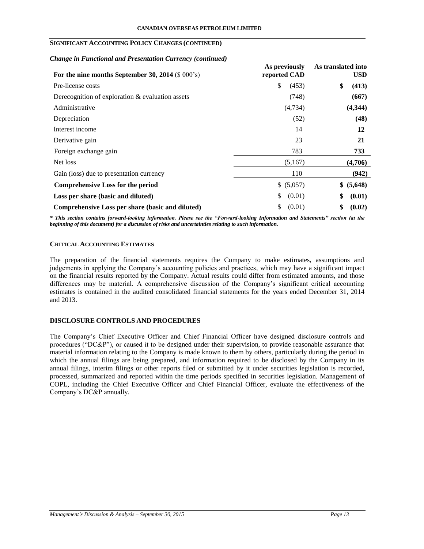# **SIGNIFICANT ACCOUNTING POLICY CHANGES (CONTINUED)**

#### *Change in Functional and Presentation Currency (continued)*

| For the nine months September 30, 2014 (\$ 000's)   | As previously<br>reported CAD | As translated into<br><b>USD</b> |
|-----------------------------------------------------|-------------------------------|----------------------------------|
| Pre-license costs                                   | \$<br>(453)                   | \$<br>(413)                      |
| Derecognition of exploration $\&$ evaluation assets | (748)                         | (667)                            |
| Administrative                                      | (4,734)                       | (4,344)                          |
| Depreciation                                        | (52)                          | (48)                             |
| Interest income                                     | 14                            | 12                               |
| Derivative gain                                     | 23                            | 21                               |
| Foreign exchange gain                               | 783                           | 733                              |
| Net loss                                            | (5,167)                       | (4,706)                          |
| Gain (loss) due to presentation currency            | 110                           | (942)                            |
| Comprehensive Loss for the period                   | \$ (5,057)                    | \$ (5,648)                       |
| Loss per share (basic and diluted)                  | \$<br>(0.01)                  | \$<br>(0.01)                     |
| Comprehensive Loss per share (basic and diluted)    | (0.01)<br>\$                  | (0.02)<br>\$                     |

*\* This section contains forward-looking information. Please see the "Forward-looking Information and Statements" section (at the beginning of this document) for a discussion of risks and uncertainties relating to such information.*

# **CRITICAL ACCOUNTING ESTIMATES**

The preparation of the financial statements requires the Company to make estimates, assumptions and judgements in applying the Company's accounting policies and practices, which may have a significant impact on the financial results reported by the Company. Actual results could differ from estimated amounts, and those differences may be material. A comprehensive discussion of the Company's significant critical accounting estimates is contained in the audited consolidated financial statements for the years ended December 31, 2014 and 2013.

# **DISCLOSURE CONTROLS AND PROCEDURES**

The Company's Chief Executive Officer and Chief Financial Officer have designed disclosure controls and procedures ("DC&P"), or caused it to be designed under their supervision, to provide reasonable assurance that material information relating to the Company is made known to them by others, particularly during the period in which the annual filings are being prepared, and information required to be disclosed by the Company in its annual filings, interim filings or other reports filed or submitted by it under securities legislation is recorded, processed, summarized and reported within the time periods specified in securities legislation. Management of COPL, including the Chief Executive Officer and Chief Financial Officer, evaluate the effectiveness of the Company's DC&P annually.